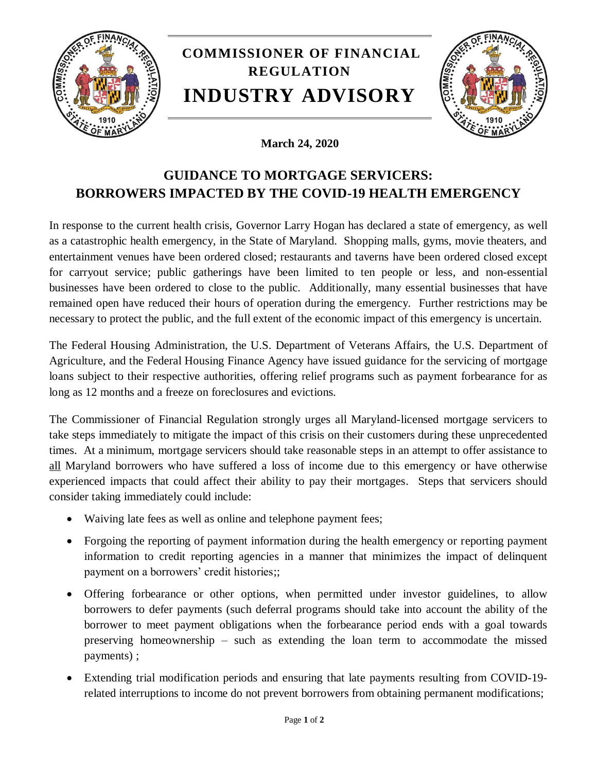

## **March 24, 2020**

## **GUIDANCE TO MORTGAGE SERVICERS: BORROWERS IMPACTED BY THE COVID-19 HEALTH EMERGENCY**

In response to the current health crisis, Governor Larry Hogan has declared a state of emergency, as well as a catastrophic health emergency, in the State of Maryland. Shopping malls, gyms, movie theaters, and entertainment venues have been ordered closed; restaurants and taverns have been ordered closed except for carryout service; public gatherings have been limited to ten people or less, and non-essential businesses have been ordered to close to the public. Additionally, many essential businesses that have remained open have reduced their hours of operation during the emergency. Further restrictions may be necessary to protect the public, and the full extent of the economic impact of this emergency is uncertain.

The Federal Housing Administration, the U.S. Department of Veterans Affairs, the U.S. Department of Agriculture, and the Federal Housing Finance Agency have issued guidance for the servicing of mortgage loans subject to their respective authorities, offering relief programs such as payment forbearance for as long as 12 months and a freeze on foreclosures and evictions.

The Commissioner of Financial Regulation strongly urges all Maryland-licensed mortgage servicers to take steps immediately to mitigate the impact of this crisis on their customers during these unprecedented times. At a minimum, mortgage servicers should take reasonable steps in an attempt to offer assistance to all Maryland borrowers who have suffered a loss of income due to this emergency or have otherwise experienced impacts that could affect their ability to pay their mortgages. Steps that servicers should consider taking immediately could include:

- Waiving late fees as well as online and telephone payment fees;
- Forgoing the reporting of payment information during the health emergency or reporting payment information to credit reporting agencies in a manner that minimizes the impact of delinquent payment on a borrowers' credit histories;;
- Offering forbearance or other options, when permitted under investor guidelines, to allow borrowers to defer payments (such deferral programs should take into account the ability of the borrower to meet payment obligations when the forbearance period ends with a goal towards preserving homeownership – such as extending the loan term to accommodate the missed payments) ;
- Extending trial modification periods and ensuring that late payments resulting from COVID-19 related interruptions to income do not prevent borrowers from obtaining permanent modifications;